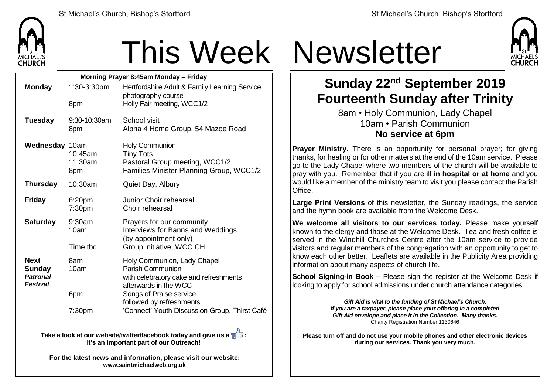

## This Week Newsletter

| Morning Prayer 8:45am Monday - Friday |                    |                                                     |  |  |
|---------------------------------------|--------------------|-----------------------------------------------------|--|--|
| <b>Monday</b>                         | 1:30-3:30pm        | Hertfordshire Adult & Family Learning Service       |  |  |
|                                       |                    | photography course                                  |  |  |
|                                       | 8pm                | Holly Fair meeting, WCC1/2                          |  |  |
| <b>Tuesday</b>                        | $9:30-10:30$ am    | School visit                                        |  |  |
|                                       | 8pm                | Alpha 4 Home Group, 54 Mazoe Road                   |  |  |
| Wednesday 10am                        |                    | <b>Holy Communion</b>                               |  |  |
|                                       | 10:45am            | <b>Tiny Tots</b>                                    |  |  |
|                                       | 11:30am            | Pastoral Group meeting, WCC1/2                      |  |  |
|                                       | 8pm                | Families Minister Planning Group, WCC1/2            |  |  |
| <b>Thursday</b>                       | 10:30am            | Quiet Day, Albury                                   |  |  |
| <b>Friday</b>                         | 6:20pm             | <b>Junior Choir rehearsal</b>                       |  |  |
|                                       | 7:30 <sub>pm</sub> | Choir rehearsal                                     |  |  |
| <b>Saturday</b>                       | 9:30am             | Prayers for our community                           |  |  |
|                                       | 10am               | Interviews for Banns and Weddings                   |  |  |
|                                       |                    | (by appointment only)                               |  |  |
|                                       | Time tbc           | Group initiative, WCC CH                            |  |  |
| <b>Next</b>                           | 8am                | Holy Communion, Lady Chapel                         |  |  |
| <b>Sunday</b>                         | 10am               | <b>Parish Communion</b>                             |  |  |
| <b>Patronal</b>                       |                    | with celebratory cake and refreshments              |  |  |
| <b>Festival</b>                       |                    | afterwards in the WCC                               |  |  |
|                                       | 6pm                | Songs of Praise service<br>followed by refreshments |  |  |
|                                       | 7:30pm             | 'Connect' Youth Discussion Group, Thirst Café       |  |  |
|                                       |                    |                                                     |  |  |

**Take a look at our website/twitter/facebook today and give us a**  $\blacksquare$ **: it's an important part of our Outreach!**

**For the latest news and information, please visit our website: [www.saintmichaelweb.org.uk](http://www.saintmichaelweb.org.uk/)**



## **Sunday 22nd September 2019 Fourteenth Sunday after Trinity**

8am • Holy Communion, Lady Chapel 10am • Parish Communion **No service at 6pm**

**Prayer Ministry.** There is an opportunity for personal prayer; for giving thanks, for healing or for other matters at the end of the 10am service. Please go to the Lady Chapel where two members of the church will be available to pray with you. Remember that if you are ill **in hospital or at home** and you would like a member of the ministry team to visit you please contact the Parish Office.

**Large Print Versions** of this newsletter, the Sunday readings, the service and the hymn book are available from the Welcome Desk.

**We welcome all visitors to our services today.** Please make yourself known to the clergy and those at the Welcome Desk. Tea and fresh coffee is served in the Windhill Churches Centre after the 10am service to provide visitors and regular members of the congregation with an opportunity to get to know each other better. Leaflets are available in the Publicity Area providing information about many aspects of church life.

**School Signing-in Book –** Please sign the register at the Welcome Desk if looking to apply for school admissions under church attendance categories.

> *Gift Aid is vital to the funding of St Michael's Church. If you are a taxpayer, please place your offering in a completed Gift Aid envelope and place it in the Collection. Many thanks.* Charity Registration Number 1130646

**Please turn off and do not use your mobile phones and other electronic devices during our services. Thank you very much.**